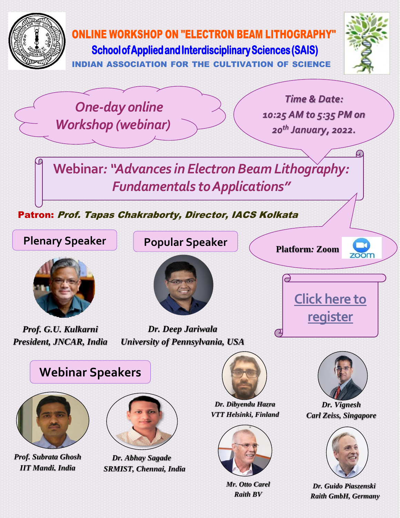

*Raith BV*

*Dr. Guido Piaszenski Raith GmbH, Germany*